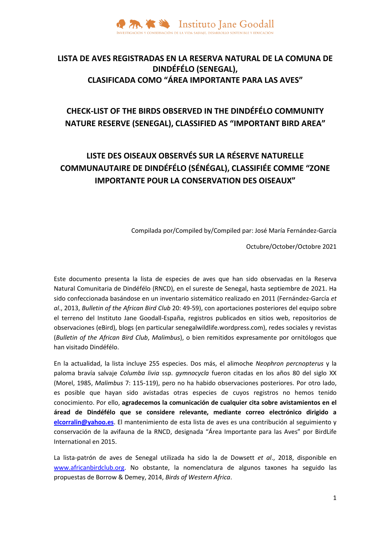

### **LISTA DE AVES REGISTRADAS EN LA RESERVA NATURAL DE LA COMUNA DE DINDÉFÉLO (SENEGAL), CLASIFICADA COMO "ÁREA IMPORTANTE PARA LAS AVES"**

## **CHECK-LIST OF THE BIRDS OBSERVED IN THE DINDÉFÉLO COMMUNITY NATURE RESERVE (SENEGAL), CLASSIFIED AS "IMPORTANT BIRD AREA"**

# **LISTE DES OISEAUX OBSERVÉS SUR LA RÉSERVE NATURELLE COMMUNAUTAIRE DE DINDÉFÉLO (SÉNÉGAL), CLASSIFIÉE COMME "ZONE IMPORTANTE POUR LA CONSERVATION DES OISEAUX"**

Compilada por/Compiled by/Compiled par: José María Fernández-García

Octubre/October/Octobre 2021

Este documento presenta la lista de especies de aves que han sido observadas en la Reserva Natural Comunitaria de Dindéfélo (RNCD), en el sureste de Senegal, hasta septiembre de 2021. Ha sido confeccionada basándose en un inventario sistemático realizado en 2011 (Fernández-García *et al*., 2013, *Bulletin of the African Bird Club* 20: 49-59), con aportaciones posteriores del equipo sobre el terreno del Instituto Jane Goodall-España, registros publicados en sitios web, repositorios de observaciones (eBird), blogs (en particular senegalwildlife.wordpress.com), redes sociales y revistas (*Bulletin of the African Bird Club*, *Malimbus*), o bien remitidos expresamente por ornitólogos que han visitado Dindéfélo.

En la actualidad, la lista incluye 255 especies. Dos más, el alimoche *Neophron percnopterus* y la paloma bravía salvaje *Columba livia* ssp. *gymnocycla* fueron citadas en los años 80 del siglo XX (Morel, 1985, *Malimbus* 7: 115-119), pero no ha habido observaciones posteriores. Por otro lado, es posible que hayan sido avistadas otras especies de cuyos registros no hemos tenido conocimiento. Por ello, **agradecemos la comunicación de cualquier cita sobre avistamientos en el áread de Dindéfélo que se considere relevante, mediante correo electrónico dirigido a [elcorralin@yahoo.es](mailto:elcorralin@yahoo.es)**. El mantenimiento de esta lista de aves es una contribución al seguimiento y conservación de la avifauna de la RNCD, designada "Área Importante para las Aves" por BirdLife International en 2015.

La lista-patrón de aves de Senegal utilizada ha sido la de Dowsett *et al*., 2018, disponible en [www.africanbirdclub.org.](http://www.africanbirdclub.org/) No obstante, la nomenclatura de algunos taxones ha seguido las propuestas de Borrow & Demey, 2014, *Birds of Western Africa*.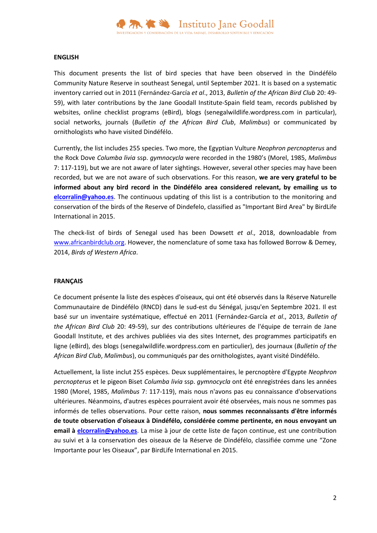

#### **ENGLISH**

This document presents the list of bird species that have been observed in the Dindéfélo Community Nature Reserve in southeast Senegal, until September 2021. It is based on a systematic inventory carried out in 2011 (Fernández-García *et al*., 2013, *Bulletin of the African Bird Club* 20: 49- 59), with later contributions by the Jane Goodall Institute-Spain field team, records published by websites, online checklist programs (eBird), blogs (senegalwildlife.wordpress.com in particular), social networks, journals (*Bulletin of the African Bird Club*, *Malimbus*) or communicated by ornithologists who have visited Dindéfélo.

Currently, the list includes 255 species. Two more, the Egyptian Vulture *Neophron percnopterus* and the Rock Dove *Columba livia* ssp. *gymnocycla* were recorded in the 1980's (Morel, 1985, *Malimbus* 7: 117-119), but we are not aware of later sightings. However, several other species may have been recorded, but we are not aware of such observations. For this reason, **we are very grateful to be informed about any bird record in the Dindéfélo area considered relevant, by emailing us to [elcorralin@yahoo.es](mailto:elcorralin@yahoo.es)**. The continuous updating of this list is a contribution to the monitoring and conservation of the birds of the Reserve of Dindefelo, classified as "Important Bird Area" by BirdLife International in 2015.

The check-list of birds of Senegal used has been Dowsett *et al*., 2018, downloadable from [www.africanbirdclub.org.](http://www.africanbirdclub.org/) However, the nomenclature of some taxa has followed Borrow & Demey, 2014, *Birds of Western Africa*.

#### **FRANÇAIS**

Ce document présente la liste des espèces d'oiseaux, qui ont été observés dans la Réserve Naturelle Communautaire de Dindéfélo (RNCD) dans le sud-est du Sénégal, jusqu'en Septembre 2021. Il est basé sur un inventaire systématique, effectué en 2011 (Fernández-García *et al*., 2013, *Bulletin of the African Bird Club* 20: 49-59), sur des contributions ultérieures de l'équipe de terrain de Jane Goodall Institute, et des archives publiées via des sites Internet, des programmes participatifs en ligne (eBird), des blogs (senegalwildlife.wordpress.com en particulier), des journaux (*Bulletin of the African Bird Club*, *Malimbus*), ou communiqués par des ornithologistes, ayant visité Dindéfélo.

Actuellement, la liste inclut 255 espèces. Deux supplémentaires, le percnoptère d'Egypte *Neophron percnopterus* et le pigeon Biset *Columba livia* ssp. *gymnocycla* ont été enregistrées dans les années 1980 (Morel, 1985, *Malimbus* 7: 117-119), mais nous n'avons pas eu connaissance d'observations ultérieures. Néanmoins, d'autres espèces pourraient avoir été observées, mais nous ne sommes pas informés de telles observations. Pour cette raison, **nous sommes reconnaissants d'être informés de toute observation d'oiseaux à Dindéfélo, considérée comme pertinente, en nous envoyant un email à [elcorralin@yahoo.es](mailto:elcorralin@yahoo.es)**. La mise à jour de cette liste de façon continue, est une contribution au suivi et à la conservation des oiseaux de la Réserve de Dindéfélo, classifiée comme une "Zone Importante pour les Oiseaux", par BirdLife International en 2015.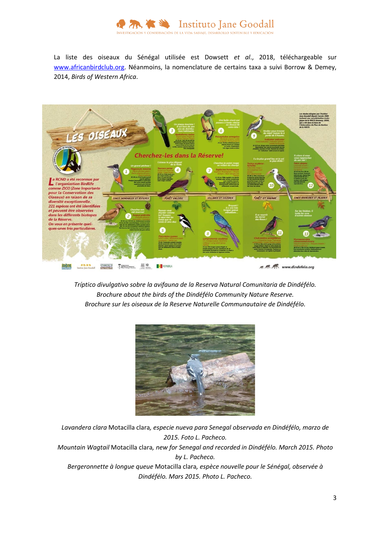

La liste des oiseaux du Sénégal utilisée est Dowsett *et al*., 2018, téléchargeable sur [www.africanbirdclub.org.](http://www.africanbirdclub.org/) Néanmoins, la nomenclature de certains taxa a suivi Borrow & Demey, 2014, *Birds of Western Africa*.



*Tríptico divulgativo sobre la avifauna de la Reserva Natural Comunitaria de Dindéfélo. Brochure about the birds of the Dindéfélo Community Nature Reserve. Brochure sur les oiseaux de la Reserve Naturelle Communautaire de Dindéfélo.*



*Lavandera clara* Motacilla clara*, especie nueva para Senegal observada en Dindéfélo, marzo de 2015. Foto L. Pacheco. Mountain Wagtail* Motacilla clara*, new for Senegal and recorded in Dindéfélo. March 2015. Photo by L. Pacheco. Bergeronnette à longue queue* Motacilla clara*, espèce nouvelle pour le Sénégal, observée à Dindéfélo. Mars 2015. Photo L. Pacheco.*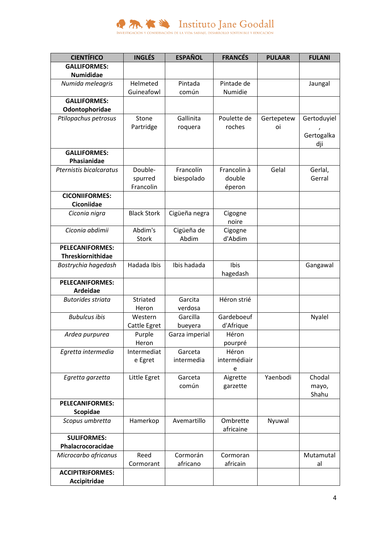

| <b>CIENTÍFICO</b>        | <b>INGLÉS</b>      | <b>ESPAÑOL</b> | <b>FRANCÉS</b>        | <b>PULAAR</b> | <b>FULANI</b>  |
|--------------------------|--------------------|----------------|-----------------------|---------------|----------------|
| <b>GALLIFORMES:</b>      |                    |                |                       |               |                |
| <b>Numididae</b>         |                    |                |                       |               |                |
| Numida meleagris         | Helmeted           | Pintada        | Pintade de            |               | Jaungal        |
|                          | Guineafowl         | común          | Numidie               |               |                |
| <b>GALLIFORMES:</b>      |                    |                |                       |               |                |
| Odontophoridae           |                    |                |                       |               |                |
| Ptilopachus petrosus     | Stone              | Gallinita      | Poulette de           | Gertepetew    | Gertoduyiel    |
|                          | Partridge          | roquera        | roches                | oi            |                |
|                          |                    |                |                       |               | Gertogalka     |
|                          |                    |                |                       |               | dji            |
| <b>GALLIFORMES:</b>      |                    |                |                       |               |                |
| Phasianidae              |                    |                |                       |               |                |
| Pternistis bicalcaratus  | Double-            | Francolín      | Francolin à           | Gelal         | Gerlal,        |
|                          | spurred            | biespolado     | double                |               | Gerral         |
|                          | Francolin          |                | éperon                |               |                |
| <b>CICONIIFORMES:</b>    |                    |                |                       |               |                |
| Ciconiidae               |                    |                |                       |               |                |
| Ciconia nigra            | <b>Black Stork</b> | Cigüeña negra  | Cigogne               |               |                |
|                          |                    |                | noire                 |               |                |
| Ciconia abdimii          | Abdim's            | Cigüeña de     | Cigogne               |               |                |
|                          | Stork              | Abdim          | d'Abdim               |               |                |
| <b>PELECANIFORMES:</b>   |                    |                |                       |               |                |
| <b>Threskiornithidae</b> |                    |                |                       |               |                |
| Bostrychia hagedash      | Hadada Ibis        | Ibis hadada    | Ibis                  |               | Gangawal       |
|                          |                    |                | hagedash              |               |                |
| <b>PELECANIFORMES:</b>   |                    |                |                       |               |                |
| Ardeidae                 |                    |                |                       |               |                |
| <b>Butorides striata</b> | Striated           | Garcita        | Héron strié           |               |                |
|                          | Heron              | verdosa        |                       |               |                |
| <b>Bubulcus ibis</b>     | Western            | Garcilla       | Gardeboeuf            |               | Nyalel         |
|                          | Cattle Egret       | bueyera        | d'Afrique             |               |                |
| Ardea purpurea           | Purple             | Garza imperial | Héron                 |               |                |
|                          | Heron              |                | pourpré               |               |                |
| Egretta intermedia       | Intermediat        | Garceta        | Héron<br>intermédiair |               |                |
|                          | e Egret            | intermedia     |                       |               |                |
|                          |                    | Garceta        | e                     | Yaenbodi      | Chodal         |
| Egretta garzetta         | Little Egret       | común          | Aigrette              |               |                |
|                          |                    |                | garzette              |               | mayo,<br>Shahu |
| PELECANIFORMES:          |                    |                |                       |               |                |
| Scopidae                 |                    |                |                       |               |                |
| Scopus umbretta          | Hamerkop           | Avemartillo    | Ombrette              | Nyuwal        |                |
|                          |                    |                | africaine             |               |                |
| <b>SULIFORMES:</b>       |                    |                |                       |               |                |
| Phalacrocoracidae        |                    |                |                       |               |                |
| Microcarbo africanus     | Reed               | Cormorán       | Cormoran              |               | Mutamutal      |
|                          | Cormorant          | africano       | africain              |               | al             |
| <b>ACCIPITRIFORMES:</b>  |                    |                |                       |               |                |
| Accipitridae             |                    |                |                       |               |                |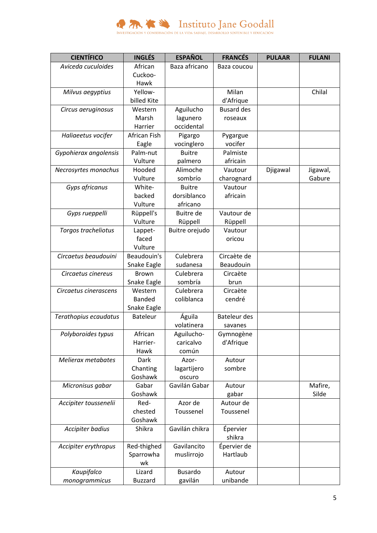

| <b>CIENTÍFICO</b>     | <b>INGLÉS</b>   | <b>ESPAÑOL</b>   | <b>FRANCÉS</b>      | <b>PULAAR</b> | <b>FULANI</b> |
|-----------------------|-----------------|------------------|---------------------|---------------|---------------|
| Aviceda cuculoides    | African         | Baza africano    | Baza coucou         |               |               |
|                       | Cuckoo-         |                  |                     |               |               |
|                       | Hawk            |                  |                     |               |               |
| Milvus aegyptius      | Yellow-         |                  | Milan               |               | Chilal        |
|                       | billed Kite     |                  | d'Afrique           |               |               |
| Circus aeruginosus    | Western         | Aguilucho        | <b>Busard des</b>   |               |               |
|                       | Marsh           | lagunero         | roseaux             |               |               |
|                       | Harrier         | occidental       |                     |               |               |
| Haliaeetus vocifer    | African Fish    | Pigargo          | Pygargue            |               |               |
|                       | Eagle           | vocinglero       | vocifer             |               |               |
| Gypohierax angolensis | Palm-nut        | <b>Buitre</b>    | Palmiste            |               |               |
|                       | Vulture         | palmero          | africain            |               |               |
| Necrosyrtes monachus  | Hooded          | Alimoche         | Vautour             | Djigawal      | Jigawal,      |
|                       | Vulture         | sombrío          | charognard          |               | Gabure        |
| Gyps africanus        | White-          | <b>Buitre</b>    | Vautour             |               |               |
|                       | backed          | dorsiblanco      | africain            |               |               |
|                       | Vulture         | africano         |                     |               |               |
| Gyps rueppelli        | Rüppell's       | <b>Buitre</b> de | Vautour de          |               |               |
|                       | Vulture         | Rüppell          | Rüppell             |               |               |
| Torgos tracheliotus   | Lappet-         | Buitre orejudo   | Vautour             |               |               |
|                       | faced           |                  | oricou              |               |               |
|                       | Vulture         |                  |                     |               |               |
| Circaetus beaudouini  | Beaudouin's     | Culebrera        | Circaète de         |               |               |
|                       | Snake Eagle     | sudanesa         | Beaudouin           |               |               |
| Circaetus cinereus    | <b>Brown</b>    | Culebrera        | Circaète            |               |               |
|                       | Snake Eagle     | sombría          | brun                |               |               |
| Circaetus cinerascens | Western         | Culebrera        | Circaète            |               |               |
|                       | <b>Banded</b>   | coliblanca       | cendré              |               |               |
|                       | Snake Eagle     |                  |                     |               |               |
| Terathopius ecaudatus | <b>Bateleur</b> | Águila           | <b>Bateleur des</b> |               |               |
|                       |                 | volatinera       | savanes             |               |               |
| Polyboroides typus    | African         | Aguilucho-       | Gymnogène           |               |               |
|                       | Harrier-        | caricalvo        | d'Afrique           |               |               |
|                       | Hawk            | común            |                     |               |               |
| Melierax metabates    | <b>Dark</b>     | Azor-            | Autour              |               |               |
|                       | Chanting        | lagartijero      | sombre              |               |               |
|                       | Goshawk         | oscuro           |                     |               |               |
| Micronisus gabar      | Gabar           | Gavilán Gabar    | Autour              |               | Mafire,       |
|                       | Goshawk         |                  | gabar               |               | Silde         |
| Accipiter toussenelii | Red-            | Azor de          | Autour de           |               |               |
|                       | chested         | Toussenel        | Toussenel           |               |               |
|                       | Goshawk         |                  |                     |               |               |
| Accipiter badius      | Shikra          | Gavilán chikra   | Épervier            |               |               |
|                       |                 |                  | shikra              |               |               |
| Accipiter erythropus  | Red-thighed     | Gavilancito      | Épervier de         |               |               |
|                       | Sparrowha       | muslirrojo       | Hartlaub            |               |               |
|                       | wk              |                  |                     |               |               |
| Kaupifalco            | Lizard          | <b>Busardo</b>   | Autour              |               |               |
| monogrammicus         | <b>Buzzard</b>  | gavilán          | unibande            |               |               |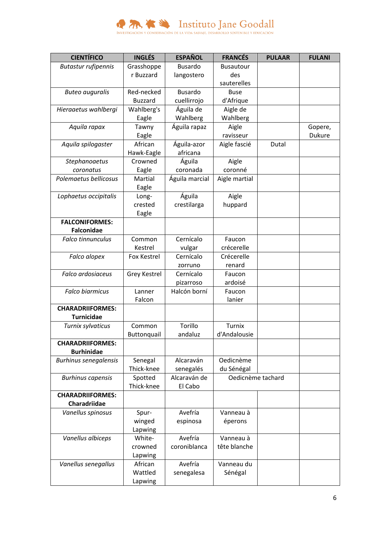

| <b>CIENTÍFICO</b>                            | <b>INGLÉS</b>      | <b>ESPAÑOL</b> | <b>FRANCÉS</b>    | <b>PULAAR</b> | <b>FULANI</b> |
|----------------------------------------------|--------------------|----------------|-------------------|---------------|---------------|
| <b>Butastur rufipennis</b>                   | Grasshoppe         | <b>Busardo</b> | <b>Busautour</b>  |               |               |
|                                              | r Buzzard          | langostero     | des               |               |               |
|                                              |                    |                | sauterelles       |               |               |
| <b>Buteo auguralis</b>                       | Red-necked         | <b>Busardo</b> | <b>Buse</b>       |               |               |
|                                              | <b>Buzzard</b>     | cuellirrojo    | d'Afrique         |               |               |
| Hieraaetus wahlbergi                         | Wahlberg's         | Águila de      | Aigle de          |               |               |
|                                              | Eagle              | Wahlberg       | Wahlberg          |               |               |
| Aquila rapax                                 | Tawny              | Águila rapaz   | Aigle             |               | Gopere,       |
|                                              | Eagle              |                | ravisseur         |               | <b>Dukure</b> |
| Aquila spilogaster                           | African            | Águila-azor    | Aigle fascié      | Dutal         |               |
|                                              | Hawk-Eagle         | africana       |                   |               |               |
| Stephanoaetus                                | Crowned            | Águila         | Aigle             |               |               |
| coronatus                                    | Eagle              | coronada       | coronné           |               |               |
| Polemaetus bellicosus                        | Martial            | Águila marcial | Aigle martial     |               |               |
|                                              | Eagle              |                |                   |               |               |
| Lophaetus occipitalis                        | Long-              | Águila         | Aigle             |               |               |
|                                              | crested            | crestilarga    | huppard           |               |               |
|                                              | Eagle              |                |                   |               |               |
| <b>FALCONIFORMES:</b>                        |                    |                |                   |               |               |
| <b>Falconidae</b>                            |                    |                |                   |               |               |
| <b>Falco tinnunculus</b>                     | Common             | Cernícalo      | Faucon            |               |               |
|                                              | Kestrel            | vulgar         | crécerelle        |               |               |
| Falco alopex                                 | Fox Kestrel        | Cernícalo      | Crécerelle        |               |               |
|                                              |                    | zorruno        | renard            |               |               |
| Falco ardosiaceus                            | Grey Kestrel       | Cernícalo      | Faucon            |               |               |
|                                              |                    | pizarroso      | ardoisé           |               |               |
| <b>Falco biarmicus</b>                       | Lanner             | Halcón borní   | Faucon            |               |               |
|                                              | Falcon             |                | lanier            |               |               |
| <b>CHARADRIIFORMES:</b>                      |                    |                |                   |               |               |
| <b>Turnicidae</b>                            | Common             | Torillo        | <b>Turnix</b>     |               |               |
| Turnix sylvaticus                            |                    |                |                   |               |               |
|                                              | <b>Buttonquail</b> | andaluz        | d'Andalousie      |               |               |
| <b>CHARADRIIFORMES:</b><br><b>Burhinidae</b> |                    |                |                   |               |               |
| <b>Burhinus senegalensis</b>                 | Senegal            | Alcaraván      | Oedicnème         |               |               |
|                                              | Thick-knee         | senegalés      | du Sénégal        |               |               |
| <b>Burhinus capensis</b>                     | Spotted            | Alcaraván de   | Oedicnème tachard |               |               |
|                                              | Thick-knee         | El Cabo        |                   |               |               |
| <b>CHARADRIIFORMES:</b>                      |                    |                |                   |               |               |
| Charadriidae                                 |                    |                |                   |               |               |
| Vanellus spinosus                            | Spur-              | Avefría        | Vanneau à         |               |               |
|                                              | winged             | espinosa       | éperons           |               |               |
|                                              | Lapwing            |                |                   |               |               |
| Vanellus albiceps                            | White-             | Avefría        | Vanneau à         |               |               |
|                                              | crowned            | coroniblanca   | tête blanche      |               |               |
|                                              | Lapwing            |                |                   |               |               |
| Vanellus senegallus                          | African            | Avefría        | Vanneau du        |               |               |
|                                              | Wattled            | senegalesa     | Sénégal           |               |               |
|                                              | Lapwing            |                |                   |               |               |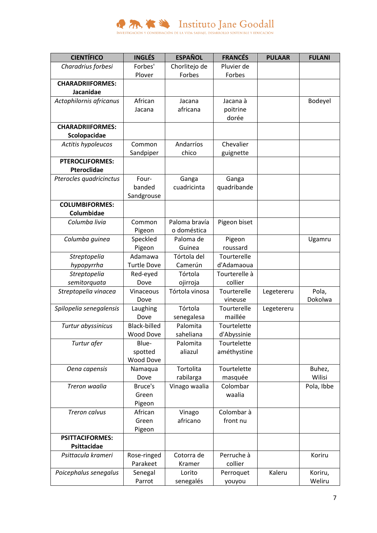

| <b>CIENTÍFICO</b>       | <b>INGLÉS</b>       | <b>ESPAÑOL</b> | <b>FRANCÉS</b> | <b>PULAAR</b> | <b>FULANI</b> |
|-------------------------|---------------------|----------------|----------------|---------------|---------------|
| Charadrius forbesi      | Forbes'             | Chorlitejo de  | Pluvier de     |               |               |
|                         | Plover              | Forbes         | Forbes         |               |               |
| <b>CHARADRIIFORMES:</b> |                     |                |                |               |               |
| Jacanidae               |                     |                |                |               |               |
| Actophilornis africanus | African             | Jacana         | Jacana à       |               | Bodeyel       |
|                         | Jacana              | africana       | poitrine       |               |               |
|                         |                     |                | dorée          |               |               |
| <b>CHARADRIIFORMES:</b> |                     |                |                |               |               |
| Scolopacidae            |                     |                |                |               |               |
| Actitis hypoleucos      | Common              | Andarríos      | Chevalier      |               |               |
|                         | Sandpiper           | chico          | guignette      |               |               |
| <b>PTEROCLIFORMES:</b>  |                     |                |                |               |               |
| Pteroclidae             |                     |                |                |               |               |
| Pterocles quadricinctus | Four-               | Ganga          | Ganga          |               |               |
|                         | banded              | cuadricinta    | quadribande    |               |               |
|                         | Sandgrouse          |                |                |               |               |
| <b>COLUMBIFORMES:</b>   |                     |                |                |               |               |
| Columbidae              |                     |                |                |               |               |
| Columba livia           | Common              | Paloma bravía  | Pigeon biset   |               |               |
|                         | Pigeon              | o doméstica    |                |               |               |
| Columba guinea          | Speckled            | Paloma de      | Pigeon         |               | Ugamru        |
|                         | Pigeon              | Guinea         | roussard       |               |               |
| Streptopelia            | Adamawa             | Tórtola del    | Tourterelle    |               |               |
| hypopyrrha              | <b>Turtle Dove</b>  | Camerún        | d'Adamaoua     |               |               |
| Streptopelia            | Red-eyed            | Tórtola        | Tourterelle à  |               |               |
| semitorquata            | Dove                | ojirroja       | collier        |               |               |
| Streptopelia vinacea    | Vinaceous           | Tórtola vinosa | Tourterelle    | Legetereru    | Pola,         |
|                         | Dove                |                | vineuse        |               | Dokolwa       |
| Spilopelia senegalensis | Laughing            | Tórtola        | Tourterelle    | Legetereru    |               |
|                         | Dove                | senegalesa     | maillée        |               |               |
| Turtur abyssinicus      | <b>Black-billed</b> | Palomita       | Tourtelette    |               |               |
|                         | <b>Wood Dove</b>    | saheliana      | d'Abyssinie    |               |               |
| Turtur afer             | Blue-               | Palomita       | Tourtelette    |               |               |
|                         | spotted             | aliazul        | améthystine    |               |               |
|                         | <b>Wood Dove</b>    |                |                |               |               |
| Oena capensis           | Namaqua             | Tortolita      | Tourtelette    |               | Buhez,        |
|                         | Dove                | rabilarga      | masquée        |               | Wilisi        |
| Treron waalia           | Bruce's             | Vinago waalia  | Colombar       |               | Pola, Ibbe    |
|                         | Green               |                | waalia         |               |               |
|                         | Pigeon              |                |                |               |               |
| Treron calvus           | African             | Vinago         | Colombar à     |               |               |
|                         | Green               | africano       | front nu       |               |               |
|                         | Pigeon              |                |                |               |               |
| <b>PSITTACIFORMES:</b>  |                     |                |                |               |               |
| <b>Psittacidae</b>      |                     |                |                |               |               |
| Psittacula krameri      | Rose-ringed         | Cotorra de     | Perruche à     |               | Koriru        |
|                         | Parakeet            | Kramer         | collier        |               |               |
| Poicephalus senegalus   | Senegal             | Lorito         | Perroquet      | Kaleru        | Koriru,       |
|                         | Parrot              | senegalés      | youyou         |               | Weliru        |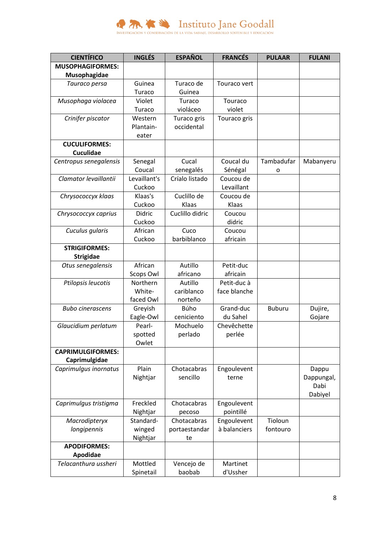

| <b>CIENTÍFICO</b>        | <b>INGLÉS</b> | <b>ESPAÑOL</b>  | <b>FRANCÉS</b> | <b>PULAAR</b> | <b>FULANI</b>       |
|--------------------------|---------------|-----------------|----------------|---------------|---------------------|
| <b>MUSOPHAGIFORMES:</b>  |               |                 |                |               |                     |
| Musophagidae             |               |                 |                |               |                     |
| Tauraco persa            | Guinea        | Turaco de       | Touraco vert   |               |                     |
|                          | Turaco        | Guinea          |                |               |                     |
| Musophaga violacea       | Violet        | Turaco          | Touraco        |               |                     |
|                          | Turaco        | violáceo        | violet         |               |                     |
| Crinifer piscator        | Western       | Turaco gris     | Touraco gris   |               |                     |
|                          | Plantain-     | occidental      |                |               |                     |
|                          | eater         |                 |                |               |                     |
| <b>CUCULIFORMES:</b>     |               |                 |                |               |                     |
| <b>Cuculidae</b>         |               |                 |                |               |                     |
| Centropus senegalensis   | Senegal       | Cucal           | Coucal du      | Tambadufar    | Mabanyeru           |
|                          | Coucal        | senegalés       | Sénégal        | 0             |                     |
| Clamator levaillantii    | Levaillant's  | Críalo listado  | Coucou de      |               |                     |
|                          | Cuckoo        |                 | Levaillant     |               |                     |
| Chrysococcyx klaas       | Klaas's       | Cuclillo de     | Coucou de      |               |                     |
|                          | Cuckoo        | Klaas           | Klaas          |               |                     |
| Chrysococcyx caprius     | Didric        | Cuclillo didric | Coucou         |               |                     |
|                          | Cuckoo        |                 | didric         |               |                     |
| Cuculus gularis          | African       | Cuco            | Coucou         |               |                     |
|                          | Cuckoo        | barbiblanco     | africain       |               |                     |
| <b>STRIGIFORMES:</b>     |               |                 |                |               |                     |
| <b>Strigidae</b>         |               |                 |                |               |                     |
| Otus senegalensis        | African       | Autillo         | Petit-duc      |               |                     |
|                          | Scops Owl     | africano        | africain       |               |                     |
| Ptilopsis leucotis       | Northern      | Autillo         | Petit-duc à    |               |                     |
|                          | White-        | cariblanco      | face blanche   |               |                     |
|                          | faced Owl     | norteño         |                |               |                     |
| <b>Bubo cinerascens</b>  | Greyish       | Búho            | Grand-duc      | <b>Buburu</b> | Dujire,             |
|                          | Eagle-Owl     | ceniciento      | du Sahel       |               | Gojare              |
| Glaucidium perlatum      | Pearl-        | Mochuelo        | Chevêchette    |               |                     |
|                          | spotted       | perlado         | perlée         |               |                     |
| <b>CAPRIMULGIFORMES:</b> | Owlet         |                 |                |               |                     |
| Caprimulgidae            |               |                 |                |               |                     |
| Caprimulgus inornatus    | Plain         | Chotacabras     | Engoulevent    |               |                     |
|                          | Nightjar      | sencillo        | terne          |               | Dappu<br>Dappungal, |
|                          |               |                 |                |               | Dabi                |
|                          |               |                 |                |               | Dabiyel             |
| Caprimulgus tristigma    | Freckled      | Chotacabras     | Engoulevent    |               |                     |
|                          | Nightjar      | pecoso          | pointillé      |               |                     |
| Macrodipteryx            | Standard-     | Chotacabras     | Engoulevent    | Tioloun       |                     |
| longipennis              | winged        | portaestandar   | à balanciers   | fontouro      |                     |
|                          | Nightjar      | te              |                |               |                     |
| <b>APODIFORMES:</b>      |               |                 |                |               |                     |
| Apodidae                 |               |                 |                |               |                     |
| Telacanthura ussheri     | Mottled       | Vencejo de      | Martinet       |               |                     |
|                          | Spinetail     | baobab          | d'Ussher       |               |                     |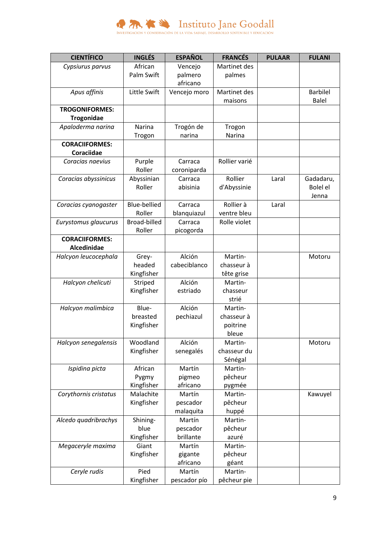

| <b>CIENTÍFICO</b>     | <b>INGLÉS</b>       | <b>ESPAÑOL</b>        | <b>FRANCÉS</b>   | <b>PULAAR</b> | <b>FULANI</b>   |
|-----------------------|---------------------|-----------------------|------------------|---------------|-----------------|
| Cypsiurus parvus      | African             | Vencejo               | Martinet des     |               |                 |
|                       | <b>Palm Swift</b>   | palmero               | palmes           |               |                 |
|                       |                     | africano              |                  |               |                 |
| Apus affinis          | Little Swift        | Vencejo moro          | Martinet des     |               | <b>Barbilel</b> |
|                       |                     |                       | maisons          |               | <b>Balel</b>    |
| <b>TROGONIFORMES:</b> |                     |                       |                  |               |                 |
| <b>Trogonidae</b>     |                     |                       |                  |               |                 |
| Apaloderma narina     | Narina              | Trogón de             | Trogon           |               |                 |
|                       | Trogon              | narina                | Narina           |               |                 |
| <b>CORACIIFORMES:</b> |                     |                       |                  |               |                 |
| <b>Coraciidae</b>     |                     |                       |                  |               |                 |
| Coracias naevius      | Purple              | Carraca               | Rollier varié    |               |                 |
|                       | Roller              | coroniparda           |                  |               |                 |
| Coracias abyssinicus  | Abyssinian          | Carraca               | Rollier          | Laral         | Gadadaru,       |
|                       | Roller              | abisinia              | d'Abyssinie      |               | <b>Bolel el</b> |
|                       |                     |                       |                  |               | Jenna           |
| Coracias cyanogaster  | <b>Blue-bellied</b> | Carraca               | Rollier à        | Laral         |                 |
|                       | Roller              | blanquiazul           | ventre bleu      |               |                 |
| Eurystomus glaucurus  | <b>Broad-billed</b> | Carraca               | Rolle violet     |               |                 |
|                       | Roller              | picogorda             |                  |               |                 |
| <b>CORACIIFORMES:</b> |                     |                       |                  |               |                 |
| <b>Alcedinidae</b>    |                     |                       |                  |               |                 |
| Halcyon leucocephala  | Grey-               | Alción                | Martin-          |               | Motoru          |
|                       | headed              | cabeciblanco          | chasseur à       |               |                 |
|                       | Kingfisher          |                       | tête grise       |               |                 |
| Halcyon chelicuti     | Striped             | Alción                | Martin-          |               |                 |
|                       | Kingfisher          | estriado              | chasseur         |               |                 |
|                       |                     |                       | strié            |               |                 |
| Halcyon malimbica     | Blue-               | Alción                | Martin-          |               |                 |
|                       | breasted            | pechiazul             | chasseur à       |               |                 |
|                       | Kingfisher          |                       | poitrine         |               |                 |
|                       |                     |                       | bleue            |               |                 |
| Halcyon senegalensis  | Woodland            | Alción                | Martin-          |               | Motoru          |
|                       | Kingfisher          | senegalés             | chasseur du      |               |                 |
|                       |                     |                       | Sénégal          |               |                 |
| Ispidina picta        | African             | Martín                | Martin-          |               |                 |
|                       | Pygmy               | pigmeo                | pêcheur          |               |                 |
|                       | Kingfisher          | africano              | pygmée           |               |                 |
| Corythornis cristatus | Malachite           | Martín                | Martin-          |               | Kawuyel         |
|                       | Kingfisher          | pescador              | pêcheur          |               |                 |
|                       |                     | malaquita             | huppé            |               |                 |
| Alcedo quadribrachys  | Shining-            | Martín                | Martin-          |               |                 |
|                       | blue                | pescador<br>brillante | pêcheur          |               |                 |
|                       | Kingfisher<br>Giant | Martín                | azuré<br>Martin- |               |                 |
| Megaceryle maxima     |                     |                       |                  |               |                 |
|                       | Kingfisher          | gigante<br>africano   | pêcheur          |               |                 |
| Ceryle rudis          | Pied                | Martín                | géant<br>Martin- |               |                 |
|                       | Kingfisher          | pescador pío          | pêcheur pie      |               |                 |
|                       |                     |                       |                  |               |                 |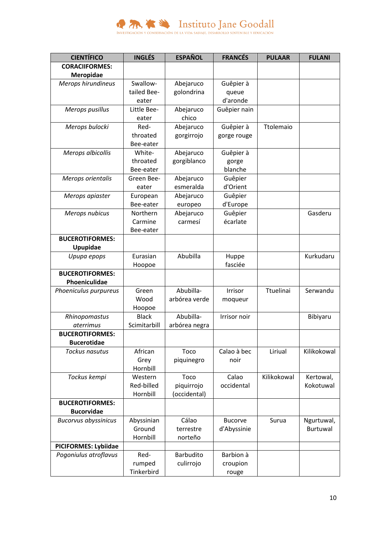

| <b>CIENTÍFICO</b>           | <b>INGLÉS</b> | <b>ESPAÑOL</b>   | <b>FRANCÉS</b>      | <b>PULAAR</b> | <b>FULANI</b>   |
|-----------------------------|---------------|------------------|---------------------|---------------|-----------------|
| <b>CORACIIFORMES:</b>       |               |                  |                     |               |                 |
| Meropidae                   |               |                  |                     |               |                 |
| Merops hirundineus          | Swallow-      | Abejaruco        | Guêpier à           |               |                 |
|                             | tailed Bee-   | golondrina       | queue               |               |                 |
|                             | eater         |                  | d'aronde            |               |                 |
| Merops pusillus             | Little Bee-   | Abejaruco        | Guêpier nain        |               |                 |
|                             | eater         | chico            |                     |               |                 |
| Merops bulocki              | Red-          | Abejaruco        | Guêpier à           | Ttolemaio     |                 |
|                             | throated      | gorgirrojo       | gorge rouge         |               |                 |
|                             | Bee-eater     |                  |                     |               |                 |
| Merops albicollis           | White-        | Abejaruco        | Guêpier à           |               |                 |
|                             | throated      | gorgiblanco      | gorge               |               |                 |
|                             | Bee-eater     |                  | blanche             |               |                 |
| Merops orientalis           | Green Bee-    | Abejaruco        | Guêpier             |               |                 |
|                             | eater         | esmeralda        | d'Orient            |               |                 |
| Merops apiaster             | European      | Abejaruco        | Guêpier             |               |                 |
|                             | Bee-eater     | europeo          | d'Europe            |               |                 |
| Merops nubicus              | Northern      | Abejaruco        | Guêpier             |               | Gasderu         |
|                             | Carmine       | carmesí          | écarlate            |               |                 |
|                             | Bee-eater     |                  |                     |               |                 |
| <b>BUCEROTIFORMES:</b>      |               |                  |                     |               |                 |
| Upupidae                    |               |                  |                     |               |                 |
| Upupa epops                 | Eurasian      | Abubilla         | Huppe               |               | Kurkudaru       |
|                             | Hoopoe        |                  | fasciée             |               |                 |
| <b>BUCEROTIFORMES:</b>      |               |                  |                     |               |                 |
| Phoeniculidae               |               |                  |                     |               |                 |
| Phoeniculus purpureus       | Green         | Abubilla-        | Irrisor             | Ttuelinai     | Serwandu        |
|                             | Wood          | arbórea verde    | moqueur             |               |                 |
|                             | Hoopoe        |                  |                     |               |                 |
| Rhinopomastus               | <b>Black</b>  | Abubilla-        | <b>Irrisor noir</b> |               | Bibiyaru        |
| aterrimus                   | Scimitarbill  | arbórea negra    |                     |               |                 |
| <b>BUCEROTIFORMES:</b>      |               |                  |                     |               |                 |
| <b>Bucerotidae</b>          |               |                  |                     |               |                 |
| <b>Tockus nasutus</b>       | African       | Toco             | Calao à bec         | Liriual       | Kilikokowal     |
|                             | Grey          | piquinegro       | noir                |               |                 |
|                             | Hornbill      |                  |                     |               |                 |
| Tockus kempi                | Western       | Toco             | Calao               | Kilikokowal   | Kertowal,       |
|                             | Red-billed    | piquirrojo       | occidental          |               | Kokotuwal       |
|                             | Hornbill      | (occidental)     |                     |               |                 |
| <b>BUCEROTIFORMES:</b>      |               |                  |                     |               |                 |
| <b>Bucorvidae</b>           |               |                  |                     |               |                 |
| <b>Bucorvus abyssinicus</b> | Abyssinian    | Cálao            | <b>Bucorve</b>      | Surua         | Ngurtuwal,      |
|                             | Ground        | terrestre        | d'Abyssinie         |               | <b>Burtuwal</b> |
|                             | Hornbill      | norteño          |                     |               |                 |
| <b>PICIFORMES: Lybiidae</b> |               |                  |                     |               |                 |
| Pogoniulus atroflavus       | Red-          | <b>Barbudito</b> | Barbion à           |               |                 |
|                             | rumped        | culirrojo        | croupion            |               |                 |
|                             | Tinkerbird    |                  | rouge               |               |                 |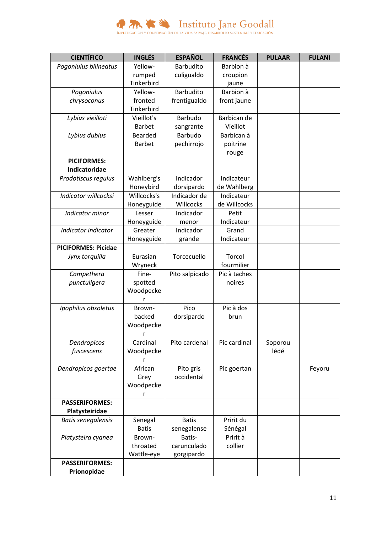

| Yellow-<br>Pogoniulus bilineatus<br>Barbudito<br>Barbion à<br>culigualdo<br>rumped<br>croupion<br>Tinkerbird<br>jaune<br>Barbion à<br>Yellow-<br>Barbudito<br>Pogoniulus<br>fronted<br>frentigualdo<br>front jaune<br>chrysoconus<br>Tinkerbird<br><b>Barbudo</b><br>Barbican de<br>Lybius vieilloti<br>Vieillot's<br><b>Barbet</b><br>Vieillot<br>sangrante<br>Barbudo<br>Lybius dubius<br><b>Bearded</b><br>Barbican à<br><b>Barbet</b><br>pechirrojo<br>poitrine<br>rouge<br><b>PICIFORMES:</b><br>Indicatoridae<br>Indicador<br>Wahlberg's<br>Indicateur<br>Prodotiscus regulus<br>Honeybird<br>dorsipardo<br>de Wahlberg<br>Willcocks's<br>Indicador de<br>Indicator willcocksi<br>Indicateur<br>de Willcocks<br>Honeyguide<br>Willcocks<br>Indicator minor<br>Indicador<br>Petit<br>Lesser<br>Indicateur<br>Honeyguide<br>menor<br>Indicator indicator<br>Greater<br>Indicador<br>Grand<br>Honeyguide<br>Indicateur<br>grande<br><b>PICIFORMES: Picidae</b><br>Eurasian<br>Torcecuello<br>Torcol<br>Jynx torquilla<br>fourmilier<br>Wryneck<br>Pic à taches<br>Campethera<br>Fine-<br>Pito salpicado | <b>CIENTÍFICO</b> | <b>INGLÉS</b> | <b>ESPAÑOL</b> | <b>FRANCÉS</b> | <b>PULAAR</b> | <b>FULANI</b> |
|------------------------------------------------------------------------------------------------------------------------------------------------------------------------------------------------------------------------------------------------------------------------------------------------------------------------------------------------------------------------------------------------------------------------------------------------------------------------------------------------------------------------------------------------------------------------------------------------------------------------------------------------------------------------------------------------------------------------------------------------------------------------------------------------------------------------------------------------------------------------------------------------------------------------------------------------------------------------------------------------------------------------------------------------------------------------------------------------------------|-------------------|---------------|----------------|----------------|---------------|---------------|
|                                                                                                                                                                                                                                                                                                                                                                                                                                                                                                                                                                                                                                                                                                                                                                                                                                                                                                                                                                                                                                                                                                            |                   |               |                |                |               |               |
|                                                                                                                                                                                                                                                                                                                                                                                                                                                                                                                                                                                                                                                                                                                                                                                                                                                                                                                                                                                                                                                                                                            |                   |               |                |                |               |               |
|                                                                                                                                                                                                                                                                                                                                                                                                                                                                                                                                                                                                                                                                                                                                                                                                                                                                                                                                                                                                                                                                                                            |                   |               |                |                |               |               |
|                                                                                                                                                                                                                                                                                                                                                                                                                                                                                                                                                                                                                                                                                                                                                                                                                                                                                                                                                                                                                                                                                                            |                   |               |                |                |               |               |
|                                                                                                                                                                                                                                                                                                                                                                                                                                                                                                                                                                                                                                                                                                                                                                                                                                                                                                                                                                                                                                                                                                            |                   |               |                |                |               |               |
|                                                                                                                                                                                                                                                                                                                                                                                                                                                                                                                                                                                                                                                                                                                                                                                                                                                                                                                                                                                                                                                                                                            |                   |               |                |                |               |               |
|                                                                                                                                                                                                                                                                                                                                                                                                                                                                                                                                                                                                                                                                                                                                                                                                                                                                                                                                                                                                                                                                                                            |                   |               |                |                |               |               |
|                                                                                                                                                                                                                                                                                                                                                                                                                                                                                                                                                                                                                                                                                                                                                                                                                                                                                                                                                                                                                                                                                                            |                   |               |                |                |               |               |
|                                                                                                                                                                                                                                                                                                                                                                                                                                                                                                                                                                                                                                                                                                                                                                                                                                                                                                                                                                                                                                                                                                            |                   |               |                |                |               |               |
|                                                                                                                                                                                                                                                                                                                                                                                                                                                                                                                                                                                                                                                                                                                                                                                                                                                                                                                                                                                                                                                                                                            |                   |               |                |                |               |               |
|                                                                                                                                                                                                                                                                                                                                                                                                                                                                                                                                                                                                                                                                                                                                                                                                                                                                                                                                                                                                                                                                                                            |                   |               |                |                |               |               |
|                                                                                                                                                                                                                                                                                                                                                                                                                                                                                                                                                                                                                                                                                                                                                                                                                                                                                                                                                                                                                                                                                                            |                   |               |                |                |               |               |
|                                                                                                                                                                                                                                                                                                                                                                                                                                                                                                                                                                                                                                                                                                                                                                                                                                                                                                                                                                                                                                                                                                            |                   |               |                |                |               |               |
|                                                                                                                                                                                                                                                                                                                                                                                                                                                                                                                                                                                                                                                                                                                                                                                                                                                                                                                                                                                                                                                                                                            |                   |               |                |                |               |               |
|                                                                                                                                                                                                                                                                                                                                                                                                                                                                                                                                                                                                                                                                                                                                                                                                                                                                                                                                                                                                                                                                                                            |                   |               |                |                |               |               |
|                                                                                                                                                                                                                                                                                                                                                                                                                                                                                                                                                                                                                                                                                                                                                                                                                                                                                                                                                                                                                                                                                                            |                   |               |                |                |               |               |
|                                                                                                                                                                                                                                                                                                                                                                                                                                                                                                                                                                                                                                                                                                                                                                                                                                                                                                                                                                                                                                                                                                            |                   |               |                |                |               |               |
|                                                                                                                                                                                                                                                                                                                                                                                                                                                                                                                                                                                                                                                                                                                                                                                                                                                                                                                                                                                                                                                                                                            |                   |               |                |                |               |               |
|                                                                                                                                                                                                                                                                                                                                                                                                                                                                                                                                                                                                                                                                                                                                                                                                                                                                                                                                                                                                                                                                                                            |                   |               |                |                |               |               |
|                                                                                                                                                                                                                                                                                                                                                                                                                                                                                                                                                                                                                                                                                                                                                                                                                                                                                                                                                                                                                                                                                                            |                   |               |                |                |               |               |
|                                                                                                                                                                                                                                                                                                                                                                                                                                                                                                                                                                                                                                                                                                                                                                                                                                                                                                                                                                                                                                                                                                            |                   |               |                |                |               |               |
|                                                                                                                                                                                                                                                                                                                                                                                                                                                                                                                                                                                                                                                                                                                                                                                                                                                                                                                                                                                                                                                                                                            |                   |               |                |                |               |               |
|                                                                                                                                                                                                                                                                                                                                                                                                                                                                                                                                                                                                                                                                                                                                                                                                                                                                                                                                                                                                                                                                                                            |                   |               |                |                |               |               |
|                                                                                                                                                                                                                                                                                                                                                                                                                                                                                                                                                                                                                                                                                                                                                                                                                                                                                                                                                                                                                                                                                                            |                   |               |                |                |               |               |
|                                                                                                                                                                                                                                                                                                                                                                                                                                                                                                                                                                                                                                                                                                                                                                                                                                                                                                                                                                                                                                                                                                            | punctuligera      | spotted       |                | noires         |               |               |
| Woodpecke                                                                                                                                                                                                                                                                                                                                                                                                                                                                                                                                                                                                                                                                                                                                                                                                                                                                                                                                                                                                                                                                                                  |                   |               |                |                |               |               |
| r                                                                                                                                                                                                                                                                                                                                                                                                                                                                                                                                                                                                                                                                                                                                                                                                                                                                                                                                                                                                                                                                                                          |                   |               |                |                |               |               |
| Pic à dos<br>Pico<br>Ipophilus obsoletus<br>Brown-                                                                                                                                                                                                                                                                                                                                                                                                                                                                                                                                                                                                                                                                                                                                                                                                                                                                                                                                                                                                                                                         |                   |               |                |                |               |               |
| backed<br>dorsipardo<br>brun                                                                                                                                                                                                                                                                                                                                                                                                                                                                                                                                                                                                                                                                                                                                                                                                                                                                                                                                                                                                                                                                               |                   |               |                |                |               |               |
| Woodpecke                                                                                                                                                                                                                                                                                                                                                                                                                                                                                                                                                                                                                                                                                                                                                                                                                                                                                                                                                                                                                                                                                                  |                   |               |                |                |               |               |
| r                                                                                                                                                                                                                                                                                                                                                                                                                                                                                                                                                                                                                                                                                                                                                                                                                                                                                                                                                                                                                                                                                                          |                   |               |                |                |               |               |
| Cardinal<br>Pito cardenal<br>Pic cardinal<br>Dendropicos<br>Soporou                                                                                                                                                                                                                                                                                                                                                                                                                                                                                                                                                                                                                                                                                                                                                                                                                                                                                                                                                                                                                                        |                   |               |                |                |               |               |
| fuscescens<br>Woodpecke<br>lédé                                                                                                                                                                                                                                                                                                                                                                                                                                                                                                                                                                                                                                                                                                                                                                                                                                                                                                                                                                                                                                                                            |                   |               |                |                |               |               |
| r                                                                                                                                                                                                                                                                                                                                                                                                                                                                                                                                                                                                                                                                                                                                                                                                                                                                                                                                                                                                                                                                                                          |                   |               |                |                |               |               |
| African<br>Pito gris<br>Dendropicos goertae<br>Pic goertan<br>Feyoru                                                                                                                                                                                                                                                                                                                                                                                                                                                                                                                                                                                                                                                                                                                                                                                                                                                                                                                                                                                                                                       |                   |               |                |                |               |               |
| occidental<br>Grey                                                                                                                                                                                                                                                                                                                                                                                                                                                                                                                                                                                                                                                                                                                                                                                                                                                                                                                                                                                                                                                                                         |                   |               |                |                |               |               |
| Woodpecke                                                                                                                                                                                                                                                                                                                                                                                                                                                                                                                                                                                                                                                                                                                                                                                                                                                                                                                                                                                                                                                                                                  |                   |               |                |                |               |               |
|                                                                                                                                                                                                                                                                                                                                                                                                                                                                                                                                                                                                                                                                                                                                                                                                                                                                                                                                                                                                                                                                                                            |                   |               |                |                |               |               |
| <b>PASSERIFORMES:</b>                                                                                                                                                                                                                                                                                                                                                                                                                                                                                                                                                                                                                                                                                                                                                                                                                                                                                                                                                                                                                                                                                      |                   |               |                |                |               |               |
| Platysteiridae                                                                                                                                                                                                                                                                                                                                                                                                                                                                                                                                                                                                                                                                                                                                                                                                                                                                                                                                                                                                                                                                                             |                   |               |                |                |               |               |
| <b>Batis senegalensis</b><br>Senegal<br><b>Batis</b><br>Pririt du                                                                                                                                                                                                                                                                                                                                                                                                                                                                                                                                                                                                                                                                                                                                                                                                                                                                                                                                                                                                                                          |                   |               |                |                |               |               |
| <b>Batis</b><br>senegalense<br>Sénégal<br>Pririt à                                                                                                                                                                                                                                                                                                                                                                                                                                                                                                                                                                                                                                                                                                                                                                                                                                                                                                                                                                                                                                                         |                   |               |                |                |               |               |
| Platysteira cyanea<br>Brown-<br>Batis-<br>carunculado<br>throated<br>collier                                                                                                                                                                                                                                                                                                                                                                                                                                                                                                                                                                                                                                                                                                                                                                                                                                                                                                                                                                                                                               |                   |               |                |                |               |               |
| Wattle-eye<br>gorgipardo                                                                                                                                                                                                                                                                                                                                                                                                                                                                                                                                                                                                                                                                                                                                                                                                                                                                                                                                                                                                                                                                                   |                   |               |                |                |               |               |
| <b>PASSERIFORMES:</b>                                                                                                                                                                                                                                                                                                                                                                                                                                                                                                                                                                                                                                                                                                                                                                                                                                                                                                                                                                                                                                                                                      |                   |               |                |                |               |               |
| Prionopidae                                                                                                                                                                                                                                                                                                                                                                                                                                                                                                                                                                                                                                                                                                                                                                                                                                                                                                                                                                                                                                                                                                |                   |               |                |                |               |               |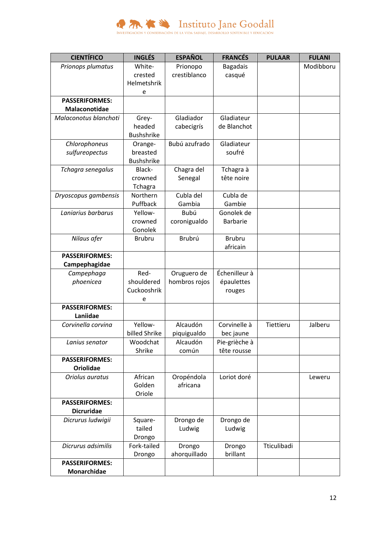

| <b>CIENTÍFICO</b>                 | <b>INGLÉS</b>     | <b>ESPAÑOL</b> | <b>FRANCÉS</b>  | <b>PULAAR</b> | <b>FULANI</b> |
|-----------------------------------|-------------------|----------------|-----------------|---------------|---------------|
| Prionops plumatus                 | White-            | Prionopo       | <b>Bagadais</b> |               | Modibboru     |
|                                   | crested           | crestiblanco   | casqué          |               |               |
|                                   | Helmetshrik       |                |                 |               |               |
|                                   | e                 |                |                 |               |               |
| <b>PASSERIFORMES:</b>             |                   |                |                 |               |               |
| Malaconotidae                     |                   |                |                 |               |               |
| Malaconotus blanchoti             | Grey-             | Gladiador      | Gladiateur      |               |               |
|                                   | headed            | cabecigrís     | de Blanchot     |               |               |
|                                   | Bushshrike        |                |                 |               |               |
| Chlorophoneus                     | Orange-           | Bubú azufrado  | Gladiateur      |               |               |
| sulfureopectus                    | breasted          |                | soufré          |               |               |
|                                   | <b>Bushshrike</b> |                |                 |               |               |
| Tchagra senegalus                 | Black-            | Chagra del     | Tchagra à       |               |               |
|                                   | crowned           | Senegal        | tête noire      |               |               |
|                                   | Tchagra           |                |                 |               |               |
| Dryoscopus gambensis              | Northern          | Cubla del      | Cubla de        |               |               |
|                                   | Puffback          | Gambia         | Gambie          |               |               |
| Laniarius barbarus                | Yellow-           | Bubú           | Gonolek de      |               |               |
|                                   | crowned           | coronigualdo   | <b>Barbarie</b> |               |               |
|                                   | Gonolek           |                |                 |               |               |
| Nilaus afer                       | <b>Brubru</b>     | Brubrú         | <b>Brubru</b>   |               |               |
|                                   |                   |                | africain        |               |               |
| <b>PASSERIFORMES:</b>             |                   |                |                 |               |               |
| Campephagidae                     |                   |                |                 |               |               |
| Campephaga                        | Red-              | Oruguero de    | Échenilleur à   |               |               |
| phoenicea                         | shouldered        | hombros rojos  | épaulettes      |               |               |
|                                   | Cuckooshrik       |                | rouges          |               |               |
|                                   | e                 |                |                 |               |               |
| <b>PASSERIFORMES:</b><br>Laniidae |                   |                |                 |               |               |
| Corvinella corvina                | Yellow-           | Alcaudón       | Corvinelle à    | Tiettieru     | Jalberu       |
|                                   | billed Shrike     | piquigualdo    | bec jaune       |               |               |
| Lanius senator                    | Woodchat          | Alcaudón       | Pie-grièche à   |               |               |
|                                   | Shrike            | común          | tête rousse     |               |               |
| <b>PASSERIFORMES:</b>             |                   |                |                 |               |               |
| <b>Oriolidae</b>                  |                   |                |                 |               |               |
| Oriolus auratus                   | African           | Oropéndola     | Loriot doré     |               | Leweru        |
|                                   | Golden            | africana       |                 |               |               |
|                                   | Oriole            |                |                 |               |               |
| <b>PASSERIFORMES:</b>             |                   |                |                 |               |               |
| <b>Dicruridae</b>                 |                   |                |                 |               |               |
| Dicrurus ludwigii                 | Square-           | Drongo de      | Drongo de       |               |               |
|                                   | tailed            | Ludwig         | Ludwig          |               |               |
|                                   | Drongo            |                |                 |               |               |
| Dicrurus adsimilis                | Fork-tailed       | Drongo         | Drongo          | Tticulibadi   |               |
|                                   | Drongo            | ahorquillado   | brillant        |               |               |
| <b>PASSERIFORMES:</b>             |                   |                |                 |               |               |
| Monarchidae                       |                   |                |                 |               |               |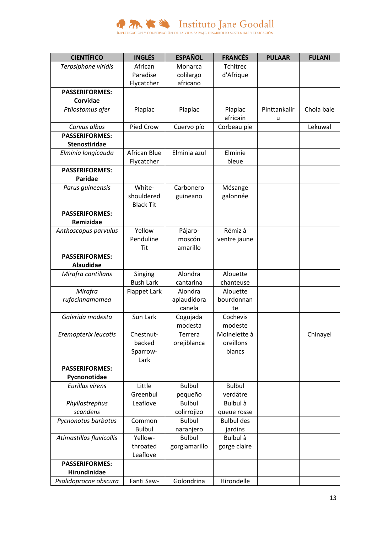

| <b>CIENTÍFICO</b>                      | <b>INGLÉS</b>    | <b>ESPAÑOL</b> | <b>FRANCÉS</b>      | <b>PULAAR</b> | <b>FULANI</b> |
|----------------------------------------|------------------|----------------|---------------------|---------------|---------------|
| Terpsiphone viridis                    | African          | Monarca        | <b>Tchitrec</b>     |               |               |
|                                        | Paradise         | colilargo      | d'Afrique           |               |               |
|                                        | Flycatcher       | africano       |                     |               |               |
| <b>PASSERIFORMES:</b>                  |                  |                |                     |               |               |
| <b>Corvidae</b>                        |                  |                |                     |               |               |
| Ptilostomus afer                       | Piapiac          | Piapiac        | Piapiac             | Pinttankalir  | Chola bale    |
|                                        |                  |                | africain            | u             |               |
| Corvus albus                           | Pied Crow        | Cuervo pío     | Corbeau pie         |               | Lekuwal       |
| <b>PASSERIFORMES:</b>                  |                  |                |                     |               |               |
| <b>Stenostiridae</b>                   |                  |                |                     |               |               |
| Elminia longicauda                     | African Blue     | Elminia azul   | Elminie             |               |               |
|                                        | Flycatcher       |                | bleue               |               |               |
| <b>PASSERIFORMES:</b>                  |                  |                |                     |               |               |
| <b>Paridae</b>                         | White-           | Carbonero      |                     |               |               |
| Parus guineensis                       | shouldered       |                | Mésange<br>galonnée |               |               |
|                                        | <b>Black Tit</b> | guineano       |                     |               |               |
| <b>PASSERIFORMES:</b>                  |                  |                |                     |               |               |
| Remizidae                              |                  |                |                     |               |               |
| Anthoscopus parvulus                   | Yellow           | Pájaro-        | Rémiz à             |               |               |
|                                        | Penduline        | moscón         | ventre jaune        |               |               |
|                                        | Tit              | amarillo       |                     |               |               |
| <b>PASSERIFORMES:</b>                  |                  |                |                     |               |               |
| <b>Alaudidae</b>                       |                  |                |                     |               |               |
| Mirafra cantillans                     | Singing          | Alondra        | Alouette            |               |               |
|                                        | <b>Bush Lark</b> | cantarina      | chanteuse           |               |               |
| Mirafra                                | Flappet Lark     | Alondra        | Alouette            |               |               |
| rufocinnamomea                         |                  | aplaudidora    | bourdonnan          |               |               |
|                                        |                  | canela         | te                  |               |               |
| Galerida modesta                       | Sun Lark         | Cogujada       | Cochevis            |               |               |
|                                        |                  | modesta        | modeste             |               |               |
| Eremopterix leucotis                   | Chestnut-        | Terrera        | Moinelette à        |               | Chinayel      |
|                                        | backed           | orejiblanca    | oreillons           |               |               |
|                                        | Sparrow-         |                | blancs              |               |               |
|                                        | Lark             |                |                     |               |               |
| <b>PASSERIFORMES:</b>                  |                  |                |                     |               |               |
| Pycnonotidae<br><b>Eurillas virens</b> | Little           | <b>Bulbul</b>  | <b>Bulbul</b>       |               |               |
|                                        | Greenbul         | pequeño        | verdâtre            |               |               |
| Phyllastrephus                         | Leaflove         | <b>Bulbul</b>  | Bulbul à            |               |               |
| scandens                               |                  | colirrojizo    | queue rosse         |               |               |
| Pycnonotus barbatus                    | Common           | <b>Bulbul</b>  | <b>Bulbul des</b>   |               |               |
|                                        | <b>Bulbul</b>    | naranjero      | jardins             |               |               |
| Atimastillas flavicollis               | Yellow-          | <b>Bulbul</b>  | Bulbul à            |               |               |
|                                        | throated         | gorgiamarillo  | gorge claire        |               |               |
|                                        | Leaflove         |                |                     |               |               |
| <b>PASSERIFORMES:</b>                  |                  |                |                     |               |               |
| Hirundinidae                           |                  |                |                     |               |               |
| Psalidoprocne obscura                  | Fanti Saw-       | Golondrina     | Hirondelle          |               |               |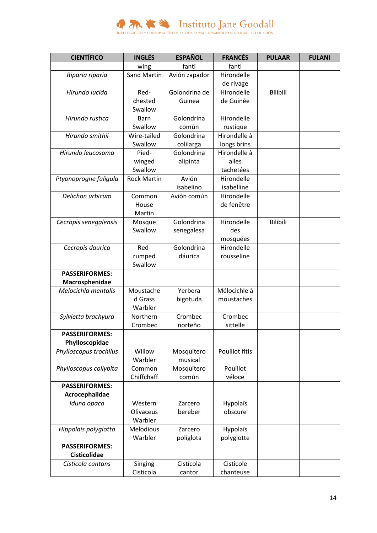

| <b>CIENTÍFICO</b>      | <b>INGLÉS</b>      | <b>ESPAÑOL</b> | <b>FRANCÉS</b> | <b>PULAAR</b>   | <b>FULANI</b> |
|------------------------|--------------------|----------------|----------------|-----------------|---------------|
|                        | wing               | fanti          | fanti          |                 |               |
| Riparia riparia        | <b>Sand Martin</b> | Avión zapador  | Hirondelle     |                 |               |
|                        |                    |                | de rivage      |                 |               |
| Hirundo lucida         | Red-               | Golondrina de  | Hirondelle     | <b>Bilibili</b> |               |
|                        | chested            | Guinea         | de Guinée      |                 |               |
|                        | Swallow            |                |                |                 |               |
| Hirundo rustica        | Barn               | Golondrina     | Hirondelle     |                 |               |
|                        | Swallow            | común          | rustique       |                 |               |
| Hirundo smithii        | Wire-tailed        | Golondrina     | Hirondelle à   |                 |               |
|                        | Swallow            | colilarga      | longs brins    |                 |               |
| Hirundo leucosoma      | Pied-              | Golondrina     | Hirondelle à   |                 |               |
|                        | winged             | alipinta       | ailes          |                 |               |
|                        | Swallow            |                | tachetées      |                 |               |
| Ptyonoprogne fuligula  | <b>Rock Martin</b> | Avión          | Hirondelle     |                 |               |
|                        |                    | isabelino      | isabelline     |                 |               |
| Delichon urbicum       | Common             | Avión común    | Hirondelle     |                 |               |
|                        | House              |                | de fenêtre     |                 |               |
|                        | Martin             |                |                |                 |               |
| Cecropis senegalensis  | Mosque             | Golondrina     | Hirondelle     | <b>Bilibili</b> |               |
|                        | Swallow            | senegalesa     | des            |                 |               |
|                        |                    |                | mosquées       |                 |               |
| Cecropis daurica       | Red-               | Golondrina     | Hirondelle     |                 |               |
|                        | rumped             | dáurica        | rousseline     |                 |               |
|                        | Swallow            |                |                |                 |               |
| <b>PASSERIFORMES:</b>  |                    |                |                |                 |               |
| Macrosphenidae         |                    |                |                |                 |               |
| Melocichla mentalis    | Moustache          | Yerbera        | Mélocichle à   |                 |               |
|                        | d Grass            | bigotuda       | moustaches     |                 |               |
|                        | Warbler            |                |                |                 |               |
| Sylvietta brachyura    | Northern           | Crombec        | Crombec        |                 |               |
|                        | Crombec            | norteño        | sittelle       |                 |               |
| <b>PASSERIFORMES:</b>  |                    |                |                |                 |               |
| Phylloscopidae         |                    |                |                |                 |               |
| Phylloscopus trochilus | Willow             | Mosquitero     | Pouillot fitis |                 |               |
|                        | Warbler            | musical        |                |                 |               |
| Phylloscopus collybita | Common             | Mosquitero     | Pouillot       |                 |               |
|                        | Chiffchaff         | común          | véloce         |                 |               |
| <b>PASSERIFORMES:</b>  |                    |                |                |                 |               |
| Acrocephalidae         |                    |                |                |                 |               |
| Iduna opaca            | Western            | Zarcero        | Hypolaïs       |                 |               |
|                        | Olivaceus          | bereber        | obscure        |                 |               |
|                        | Warbler            |                |                |                 |               |
| Hippolais polyglotta   | <b>Melodious</b>   | Zarcero        | Hypolaïs       |                 |               |
|                        | Warbler            | políglota      | polyglotte     |                 |               |
| <b>PASSERIFORMES:</b>  |                    |                |                |                 |               |
| Cisticolidae           |                    |                |                |                 |               |
| Cisticola cantans      | Singing            | Cistícola      | Cisticole      |                 |               |
|                        | Cisticola          | cantor         | chanteuse      |                 |               |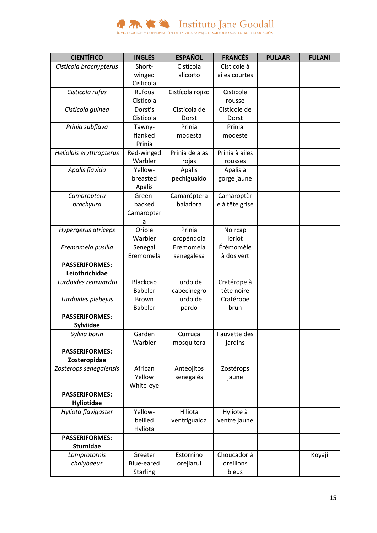

| <b>CIENTÍFICO</b>       | <b>INGLÉS</b>   | <b>ESPAÑOL</b>   | <b>FRANCÉS</b> | <b>PULAAR</b> | <b>FULANI</b> |
|-------------------------|-----------------|------------------|----------------|---------------|---------------|
| Cisticola brachypterus  | Short-          | Cistícola        | Cisticole à    |               |               |
|                         | winged          | alicorto         | ailes courtes  |               |               |
|                         | Cisticola       |                  |                |               |               |
| Cisticola rufus         | Rufous          | Cistícola rojizo | Cisticole      |               |               |
|                         | Cisticola       |                  | rousse         |               |               |
| Cisticola guinea        | Dorst's         | Cistícola de     | Cisticole de   |               |               |
|                         | Cisticola       | Dorst            | Dorst          |               |               |
| Prinia subflava         | Tawny-          | Prinia           | Prinia         |               |               |
|                         | flanked         | modesta          | modeste        |               |               |
|                         | Prinia          |                  |                |               |               |
| Heliolais erythropterus | Red-winged      | Prinia de alas   | Prinia à ailes |               |               |
|                         | Warbler         | rojas            | rousses        |               |               |
| Apalis flavida          | Yellow-         | Apalis           | Apalis à       |               |               |
|                         | breasted        | pechigualdo      | gorge jaune    |               |               |
|                         | Apalis          |                  |                |               |               |
| Camaroptera             | Green-          | Camaróptera      | Camaroptèr     |               |               |
| brachyura               | backed          | baladora         | e à tête grise |               |               |
|                         | Camaropter      |                  |                |               |               |
|                         | a               |                  |                |               |               |
| Hypergerus atriceps     | Oriole          | Prinia           | Noircap        |               |               |
|                         | Warbler         | oropéndola       | loriot         |               |               |
| Eremomela pusilla       | Senegal         | Eremomela        | Érémomèle      |               |               |
|                         | Eremomela       | senegalesa       | à dos vert     |               |               |
| <b>PASSERIFORMES:</b>   |                 |                  |                |               |               |
| Leiothrichidae          |                 |                  |                |               |               |
| Turdoides reinwardtii   | Blackcap        | Turdoide         | Cratérope à    |               |               |
|                         | <b>Babbler</b>  | cabecinegro      | tête noire     |               |               |
| Turdoides plebejus      | <b>Brown</b>    | Turdoide         | Cratérope      |               |               |
|                         | <b>Babbler</b>  | pardo            | brun           |               |               |
| <b>PASSERIFORMES:</b>   |                 |                  |                |               |               |
| Sylviidae               |                 |                  |                |               |               |
| Sylvia borin            | Garden          | Curruca          | Fauvette des   |               |               |
|                         | Warbler         | mosquitera       | jardins        |               |               |
| <b>PASSERIFORMES:</b>   |                 |                  |                |               |               |
| Zosteropidae            |                 |                  |                |               |               |
| Zosterops senegalensis  | African         | Anteojitos       | Zostérops      |               |               |
|                         | Yellow          | senegalés        | jaune          |               |               |
|                         | White-eye       |                  |                |               |               |
| <b>PASSERIFORMES:</b>   |                 |                  |                |               |               |
| Hyliotidae              |                 |                  |                |               |               |
| Hyliota flavigaster     | Yellow-         | Hiliota          | Hyliote à      |               |               |
|                         | bellied         | ventrigualda     | ventre jaune   |               |               |
|                         | Hyliota         |                  |                |               |               |
| <b>PASSERIFORMES:</b>   |                 |                  |                |               |               |
| <b>Sturnidae</b>        |                 |                  |                |               |               |
| Lamprotornis            | Greater         | Estornino        | Choucador à    |               | Koyaji        |
| chalybaeus              | Blue-eared      | orejiazul        | oreillons      |               |               |
|                         | <b>Starling</b> |                  | bleus          |               |               |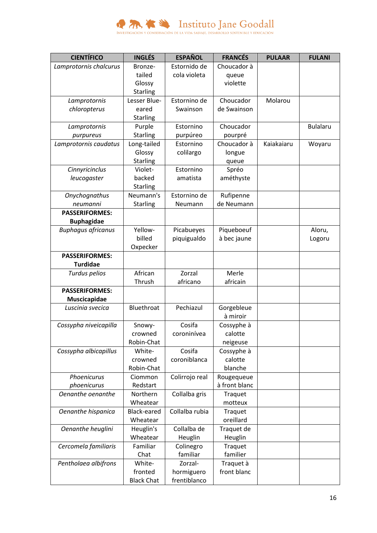

| <b>CIENTÍFICO</b>         | <b>INGLÉS</b>     | <b>ESPAÑOL</b> | <b>FRANCÉS</b> | <b>PULAAR</b> | <b>FULANI</b>   |
|---------------------------|-------------------|----------------|----------------|---------------|-----------------|
| Lamprotornis chalcurus    | Bronze-           | Estornido de   | Choucador à    |               |                 |
|                           | tailed            | cola violeta   | queue          |               |                 |
|                           | Glossy            |                | violette       |               |                 |
|                           | Starling          |                |                |               |                 |
| Lamprotornis              | Lesser Blue-      | Estornino de   | Choucador      | Molarou       |                 |
| chloropterus              | eared             | Swainson       | de Swainson    |               |                 |
|                           | <b>Starling</b>   |                |                |               |                 |
| Lamprotornis              | Purple            | Estornino      | Choucador      |               | <b>Bulalaru</b> |
| purpureus                 | <b>Starling</b>   | purpúreo       | pourpré        |               |                 |
| Lamprotornis caudatus     | Long-tailed       | Estornino      | Choucador à    | Kaiakaiaru    | Woyaru          |
|                           | Glossy            | colilargo      | longue         |               |                 |
|                           | <b>Starling</b>   |                | queue          |               |                 |
| Cinnyricinclus            | Violet-           | Estornino      | Spréo          |               |                 |
| leucogaster               | backed            | amatista       | améthyste      |               |                 |
|                           | Starling          |                |                |               |                 |
| Onychognathus             | Neumann's         | Estornino de   | Rufipenne      |               |                 |
| neumanni                  | Starling          | Neumann        | de Neumann     |               |                 |
| <b>PASSERIFORMES:</b>     |                   |                |                |               |                 |
| <b>Buphagidae</b>         |                   |                |                |               |                 |
| <b>Buphagus africanus</b> | Yellow-           | Picabueyes     | Piqueboeuf     |               | Aloru,          |
|                           | billed            | piquigualdo    | à bec jaune    |               | Logoru          |
|                           | Oxpecker          |                |                |               |                 |
| <b>PASSERIFORMES:</b>     |                   |                |                |               |                 |
| <b>Turdidae</b>           |                   |                |                |               |                 |
| Turdus pelios             | African           | Zorzal         | Merle          |               |                 |
|                           | Thrush            | africano       | africain       |               |                 |
| <b>PASSERIFORMES:</b>     |                   |                |                |               |                 |
| Muscicapidae              |                   |                |                |               |                 |
| Luscinia svecica          | Bluethroat        | Pechiazul      | Gorgebleue     |               |                 |
|                           |                   |                | à miroir       |               |                 |
| Cossypha niveicapilla     | Snowy-            | Cosifa         | Cossyphe à     |               |                 |
|                           | crowned           | coroninívea    | calotte        |               |                 |
|                           | Robin-Chat        |                | neigeuse       |               |                 |
| Cossypha albicapillus     | White-            | Cosifa         | Cossyphe à     |               |                 |
|                           | crowned           | coroniblanca   | calotte        |               |                 |
|                           | Robin-Chat        |                | blanche        |               |                 |
| Phoenicurus               | Ciommon           | Colirrojo real | Rougequeue     |               |                 |
| phoenicurus               | Redstart          |                | à front blanc  |               |                 |
| Oenanthe oenanthe         | Northern          | Collalba gris  | Traquet        |               |                 |
|                           | Wheatear          |                | motteux        |               |                 |
| Oenanthe hispanica        | Black-eared       | Collalba rubia | Traquet        |               |                 |
|                           | Wheatear          |                | oreillard      |               |                 |
| Oenanthe heuglini         | Heuglin's         | Collalba de    | Traquet de     |               |                 |
|                           | Wheatear          | Heuglin        | Heuglin        |               |                 |
| Cercomela familiaris      | Familiar          | Colinegro      | Traquet        |               |                 |
|                           | Chat              | familiar       | familier       |               |                 |
|                           | White-            | Zorzal-        |                |               |                 |
| Pentholaea albifrons      |                   |                | Traquet à      |               |                 |
|                           | fronted           | hormiguero     | front blanc    |               |                 |
|                           | <b>Black Chat</b> | frentiblanco   |                |               |                 |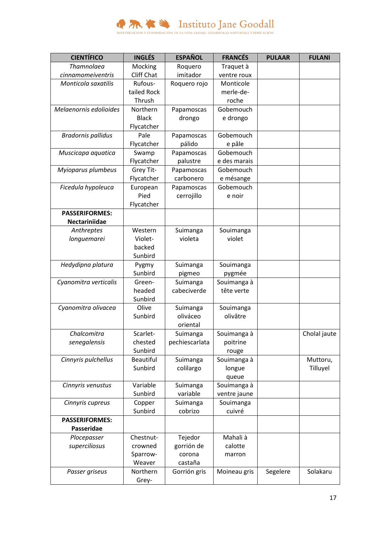

| <b>CIENTÍFICO</b>         | <b>INGLÉS</b>     | <b>ESPAÑOL</b> | <b>FRANCÉS</b> | <b>PULAAR</b> | <b>FULANI</b> |
|---------------------------|-------------------|----------------|----------------|---------------|---------------|
| Thamnolaea                | Mocking           | Roquero        | Traquet à      |               |               |
| cinnamomeiventris         | <b>Cliff Chat</b> | imitador       | ventre roux    |               |               |
| Monticola saxatilis       | Rufous-           | Roquero rojo   | Monticole      |               |               |
|                           | tailed Rock       |                | merle-de-      |               |               |
|                           | Thrush            |                | roche          |               |               |
| Melaenornis edolioides    | Northern          | Papamoscas     | Gobemouch      |               |               |
|                           | <b>Black</b>      | drongo         | e drongo       |               |               |
|                           | Flycatcher        |                |                |               |               |
| <b>Bradornis pallidus</b> | Pale              | Papamoscas     | Gobemouch      |               |               |
|                           | Flycatcher        | pálido         | e pâle         |               |               |
| Muscicapa aquatica        | Swamp             | Papamoscas     | Gobemouch      |               |               |
|                           | Flycatcher        | palustre       | e des marais   |               |               |
| Myioparus plumbeus        | Grey Tit-         | Papamoscas     | Gobemouch      |               |               |
|                           | Flycatcher        | carbonero      | e mésange      |               |               |
| Ficedula hypoleuca        | European          | Papamoscas     | Gobemouch      |               |               |
|                           | Pied              | cerrojillo     | e noir         |               |               |
|                           | Flycatcher        |                |                |               |               |
| <b>PASSERIFORMES:</b>     |                   |                |                |               |               |
| Nectariniidae             |                   |                |                |               |               |
| Anthreptes                | Western           | Suimanga       | Souimanga      |               |               |
| longuemarei               | Violet-           | violeta        | violet         |               |               |
|                           | backed            |                |                |               |               |
|                           | Sunbird           |                |                |               |               |
| Hedydipna platura         | Pygmy             | Suimanga       | Souimanga      |               |               |
|                           | Sunbird           | pigmeo         | pygmée         |               |               |
| Cyanomitra verticalis     | Green-            | Suimanga       | Souimanga à    |               |               |
|                           | headed            | cabeciverde    | tête verte     |               |               |
|                           | Sunbird           |                |                |               |               |
| Cyanomitra olivacea       | Olive             | Suimanga       | Souimanga      |               |               |
|                           | Sunbird           | oliváceo       | olivâtre       |               |               |
|                           |                   | oriental       |                |               |               |
| Chalcomitra               | Scarlet-          | Suimanga       | Souimanga à    |               | Cholal jaute  |
| senegalensis              | chested           | pechiescarlata | poitrine       |               |               |
|                           | Sunbird           |                | rouge          |               |               |
| Cinnyris pulchellus       | <b>Beautiful</b>  | Suimanga       | Souimanga à    |               | Muttoru,      |
|                           | Sunbird           | colilargo      | longue         |               | Tilluyel      |
|                           |                   |                | queue          |               |               |
| Cinnyris venustus         | Variable          | Suimanga       | Souimanga à    |               |               |
|                           | Sunbird           | variable       | ventre jaune   |               |               |
| Cinnyris cupreus          | Copper            | Suimanga       | Souimanga      |               |               |
|                           | Sunbird           | cobrizo        | cuivré         |               |               |
| <b>PASSERIFORMES:</b>     |                   |                |                |               |               |
| Passeridae                |                   |                |                |               |               |
| Plocepasser               | Chestnut-         | Tejedor        | Mahali à       |               |               |
| superciliosus             | crowned           | gorrión de     | calotte        |               |               |
|                           | Sparrow-          | corona         | marron         |               |               |
|                           | Weaver            | castaña        |                |               |               |
| Passer griseus            | Northern          | Gorrión gris   | Moineau gris   | Segelere      | Solakaru      |
|                           | Grey-             |                |                |               |               |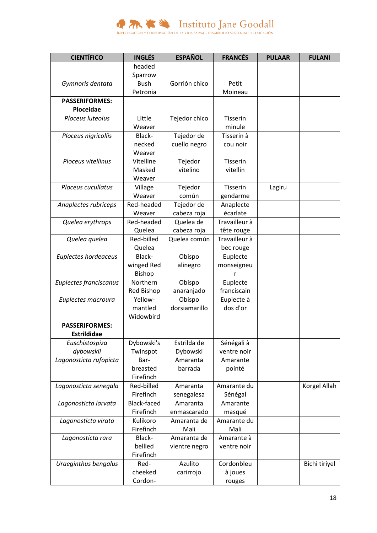

| <b>CIENTÍFICO</b>      | <b>INGLÉS</b>      | <b>ESPAÑOL</b> | <b>FRANCÉS</b>  | <b>PULAAR</b> | <b>FULANI</b> |
|------------------------|--------------------|----------------|-----------------|---------------|---------------|
|                        | headed             |                |                 |               |               |
|                        | Sparrow            |                |                 |               |               |
| Gymnoris dentata       | <b>Bush</b>        | Gorrión chico  | Petit           |               |               |
|                        | Petronia           |                | Moineau         |               |               |
| <b>PASSERIFORMES:</b>  |                    |                |                 |               |               |
| Ploceidae              |                    |                |                 |               |               |
| Ploceus luteolus       | Little             | Tejedor chico  | <b>Tisserin</b> |               |               |
|                        | Weaver             |                | minule          |               |               |
| Ploceus nigricollis    | Black-             | Tejedor de     | Tisserin à      |               |               |
|                        | necked             | cuello negro   | cou noir        |               |               |
|                        | Weaver             |                |                 |               |               |
| Ploceus vitellinus     | Vitelline          | Tejedor        | <b>Tisserin</b> |               |               |
|                        | Masked             | vitelino       | vitellin        |               |               |
|                        | Weaver             |                |                 |               |               |
| Ploceus cucullatus     | Village            | Tejedor        | <b>Tisserin</b> | Lagiru        |               |
|                        | Weaver             | común          | gendarme        |               |               |
| Anaplectes rubriceps   | Red-headed         | Tejedor de     | Anaplecte       |               |               |
|                        | Weaver             | cabeza roja    | écarlate        |               |               |
| Quelea erythrops       | Red-headed         | Quelea de      | Travailleur à   |               |               |
|                        | Quelea             | cabeza roja    | tête rouge      |               |               |
| Quelea quelea          | Red-billed         | Quelea común   | Travailleur à   |               |               |
|                        | Quelea             |                | bec rouge       |               |               |
| Euplectes hordeaceus   | Black-             | Obispo         | Euplecte        |               |               |
|                        | winged Red         | alinegro       | monseigneu      |               |               |
|                        | <b>Bishop</b>      |                | r               |               |               |
| Euplectes franciscanus | Northern           | Obispo         | Euplecte        |               |               |
|                        | Red Bishop         | anaranjado     | franciscain     |               |               |
| Euplectes macroura     | Yellow-            | Obispo         | Euplecte à      |               |               |
|                        | mantled            | dorsiamarillo  | dos d'or        |               |               |
|                        | Widowbird          |                |                 |               |               |
| <b>PASSERIFORMES:</b>  |                    |                |                 |               |               |
| <b>Estrildidae</b>     |                    |                |                 |               |               |
| Euschistospiza         | Dybowski's         | Estrilda de    | Sénégali à      |               |               |
| dybowskii              | Twinspot           | Dybowski       | ventre noir     |               |               |
| Lagonosticta rufopicta | Bar-               | Amaranta       | Amarante        |               |               |
|                        | breasted           | barrada        | pointé          |               |               |
|                        | Firefinch          |                |                 |               |               |
| Lagonosticta senegala  | Red-billed         | Amaranta       | Amarante du     |               | Korgel Allah  |
|                        | Firefinch          | senegalesa     | Sénégal         |               |               |
| Lagonosticta larvata   | <b>Black-faced</b> | Amaranta       | Amarante        |               |               |
|                        | Firefinch          | enmascarado    | masqué          |               |               |
| Lagonosticta virata    | Kulikoro           | Amaranta de    | Amarante du     |               |               |
|                        | Firefinch          | Mali           | Mali            |               |               |
| Lagonosticta rara      | Black-             | Amaranta de    | Amarante à      |               |               |
|                        | bellied            | vientre negro  | ventre noir     |               |               |
|                        | Firefinch          |                |                 |               |               |
| Uraeginthus bengalus   | Red-               | Azulito        | Cordonbleu      |               | Bichi tiriyel |
|                        | cheeked            | carirrojo      | à joues         |               |               |
|                        | Cordon-            |                | rouges          |               |               |